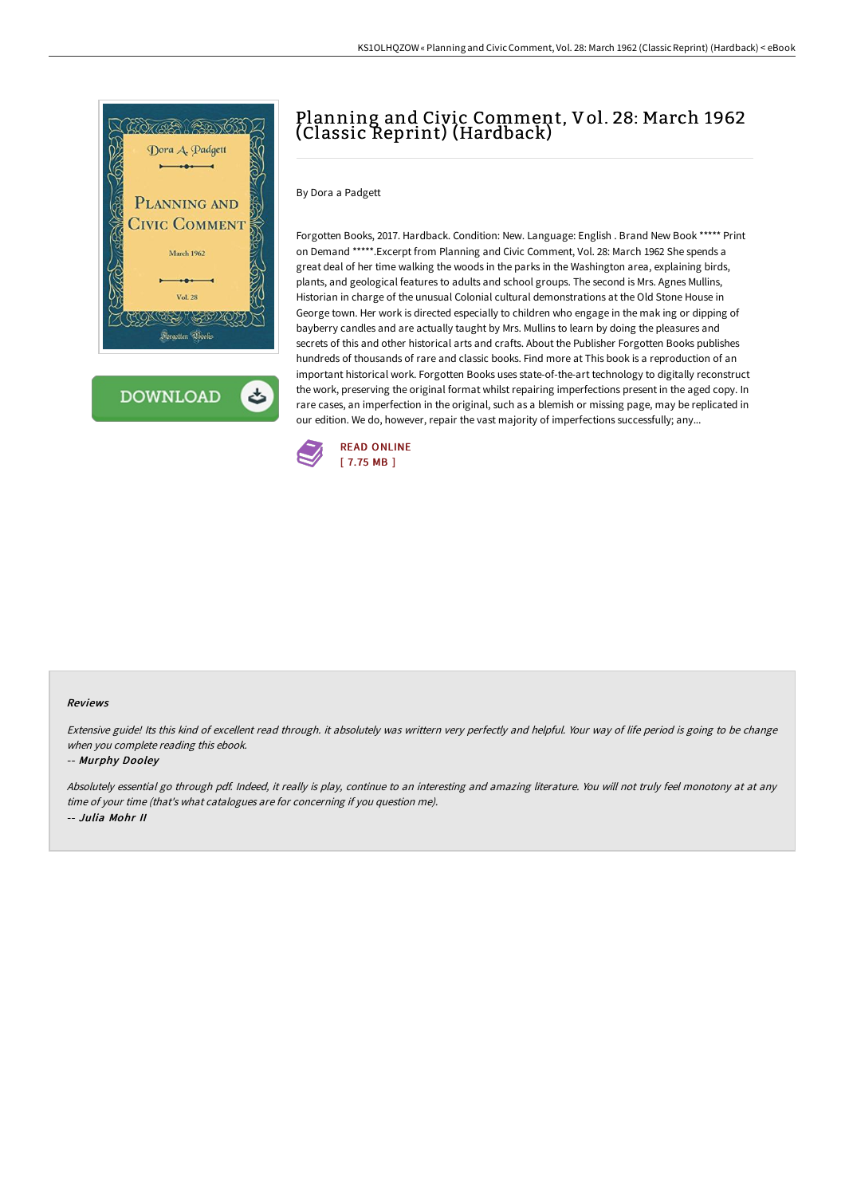

# Planning and Civic Comment, Vol. 28: March 1962 (Classic Reprint) (Hardback)

## By Dora a Padgett

Forgotten Books, 2017. Hardback. Condition: New. Language: English . Brand New Book \*\*\*\*\* Print on Demand \*\*\*\*\*.Excerpt from Planning and Civic Comment, Vol. 28: March 1962 She spends a great deal of her time walking the woods in the parks in the Washington area, explaining birds, plants, and geological features to adults and school groups. The second is Mrs. Agnes Mullins, Historian in charge of the unusual Colonial cultural demonstrations at the Old Stone House in George town. Her work is directed especially to children who engage in the mak ing or dipping of bayberry candles and are actually taught by Mrs. Mullins to learn by doing the pleasures and secrets of this and other historical arts and crafts. About the Publisher Forgotten Books publishes hundreds of thousands of rare and classic books. Find more at This book is a reproduction of an important historical work. Forgotten Books uses state-of-the-art technology to digitally reconstruct the work, preserving the original format whilst repairing imperfections present in the aged copy. In rare cases, an imperfection in the original, such as a blemish or missing page, may be replicated in our edition. We do, however, repair the vast majority of imperfections successfully; any...



#### Reviews

Extensive guide! Its this kind of excellent read through. it absolutely was writtern very perfectly and helpful. Your way of life period is going to be change when you complete reading this ebook.

### -- Murphy Dooley

Absolutely essential go through pdf. Indeed, it really is play, continue to an interesting and amazing literature. You will not truly feel monotony at at any time of your time (that's what catalogues are for concerning if you question me). -- Julia Mohr II